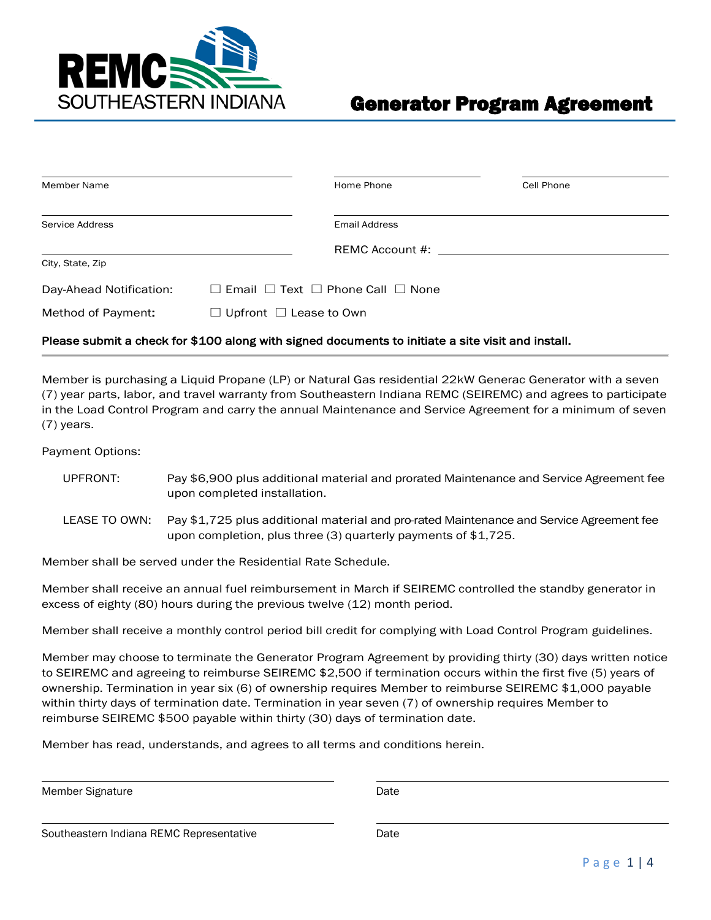

| Member Name             |                                                        | Home Phone                                                                                                                                                                                                                     | Cell Phone |
|-------------------------|--------------------------------------------------------|--------------------------------------------------------------------------------------------------------------------------------------------------------------------------------------------------------------------------------|------------|
|                         |                                                        |                                                                                                                                                                                                                                |            |
| Service Address         |                                                        | <b>Email Address</b>                                                                                                                                                                                                           |            |
|                         |                                                        | REMC Account #: The contract of the set of the set of the set of the set of the set of the set of the set of the set of the set of the set of the set of the set of the set of the set of the set of the set of the set of the |            |
| City, State, Zip        |                                                        |                                                                                                                                                                                                                                |            |
| Day-Ahead Notification: | $\Box$ Email $\Box$ Text $\Box$ Phone Call $\Box$ None |                                                                                                                                                                                                                                |            |
| Method of Payment:      | $\Box$ Upfront $\Box$ Lease to Own                     |                                                                                                                                                                                                                                |            |

#### Please submit a check for \$100 along with signed documents to initiate a site visit and install.

Member is purchasing a Liquid Propane (LP) or Natural Gas residential 22kW Generac Generator with a seven (7) year parts, labor, and travel warranty from Southeastern Indiana REMC (SEIREMC) and agrees to participate in the Load Control Program and carry the annual Maintenance and Service Agreement for a minimum of seven (7) years.

Payment Options:

- UPFRONT: Pay \$6,900 plus additional material and prorated Maintenance and Service Agreement fee upon completed installation.
- LEASE TO OWN: Pay \$1,725 plus additional material and pro-rated Maintenance and Service Agreement fee upon completion, plus three (3) quarterly payments of \$1,725.

Member shall be served under the Residential Rate Schedule.

Member shall receive an annual fuel reimbursement in March if SEIREMC controlled the standby generator in excess of eighty (80) hours during the previous twelve (12) month period.

Member shall receive a monthly control period bill credit for complying with Load Control Program guidelines.

Member may choose to terminate the Generator Program Agreement by providing thirty (30) days written notice to SEIREMC and agreeing to reimburse SEIREMC \$2,500 if termination occurs within the first five (5) years of ownership. Termination in year six (6) of ownership requires Member to reimburse SEIREMC \$1,000 payable within thirty days of termination date. Termination in year seven (7) of ownership requires Member to reimburse SEIREMC \$500 payable within thirty (30) days of termination date.

Member has read, understands, and agrees to all terms and conditions herein.

Member Signature **Date** 

Southeastern Indiana REMC Representative Date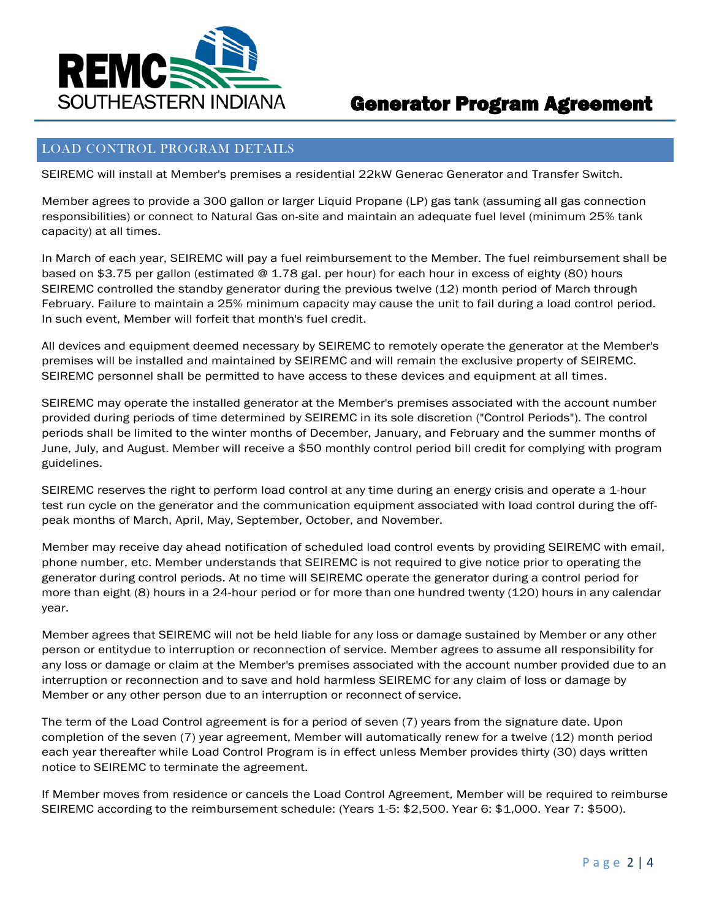

### LOAD CONTROL PROGRAM DETAILS

SEIREMC will install at Member's premises a residential 22kW Generac Generator and Transfer Switch.

Member agrees to provide a 300 gallon or larger Liquid Propane (LP) gas tank (assuming all gas connection responsibilities) or connect to Natural Gas on-site and maintain an adequate fuel level (minimum 25% tank capacity) at all times.

In March of each year, SEIREMC will pay a fuel reimbursement to the Member. The fuel reimbursement shall be based on \$3.75 per gallon (estimated @ 1.78 gal. per hour) for each hour in excess of eighty (80) hours SEIREMC controlled the standby generator during the previous twelve (12) month period of March through February. Failure to maintain a 25% minimum capacity may cause the unit to fail during a load control period. In such event, Member will forfeit that month's fuel credit.

All devices and equipment deemed necessary by SEIREMC to remotely operate the generator at the Member's premises will be installed and maintained by SEIREMC and will remain the exclusive property of SEIREMC. SEIREMC personnel shall be permitted to have access to these devices and equipment at all times.

SEIREMC may operate the installed generator at the Member's premises associated with the account number provided during periods of time determined by SEIREMC in its sole discretion ("Control Periods"). The control periods shall be limited to the winter months of December, January, and February and the summer months of June, July, and August. Member will receive a \$50 monthly control period bill credit for complying with program guidelines.

SEIREMC reserves the right to perform load control at any time during an energy crisis and operate a 1-hour test run cycle on the generator and the communication equipment associated with load control during the offpeak months of March, April, May, September, October, and November.

Member may receive day ahead notification of scheduled load control events by providing SEIREMC with email, phone number, etc. Member understands that SEIREMC is not required to give notice prior to operating the generator during control periods. At no time will SEIREMC operate the generator during a control period for more than eight (8) hours in a 24-hour period or for more than one hundred twenty (120) hours in any calendar year.

Member agrees that SEIREMC will not be held liable for any loss or damage sustained by Member or any other person or entitydue to interruption or reconnection of service. Member agrees to assume all responsibility for any loss or damage or claim at the Member's premises associated with the account number provided due to an interruption or reconnection and to save and hold harmless SEIREMC for any claim of loss or damage by Member or any other person due to an interruption or reconnect of service.

The term of the Load Control agreement is for a period of seven (7) years from the signature date. Upon completion of the seven (7) year agreement, Member will automatically renew for a twelve (12) month period each year thereafter while Load Control Program is in effect unless Member provides thirty (30) days written notice to SEIREMC to terminate the agreement.

If Member moves from residence or cancels the Load Control Agreement, Member will be required to reimburse SEIREMC according to the reimbursement schedule: (Years 1-5: \$2,500. Year 6: \$1,000. Year 7: \$500).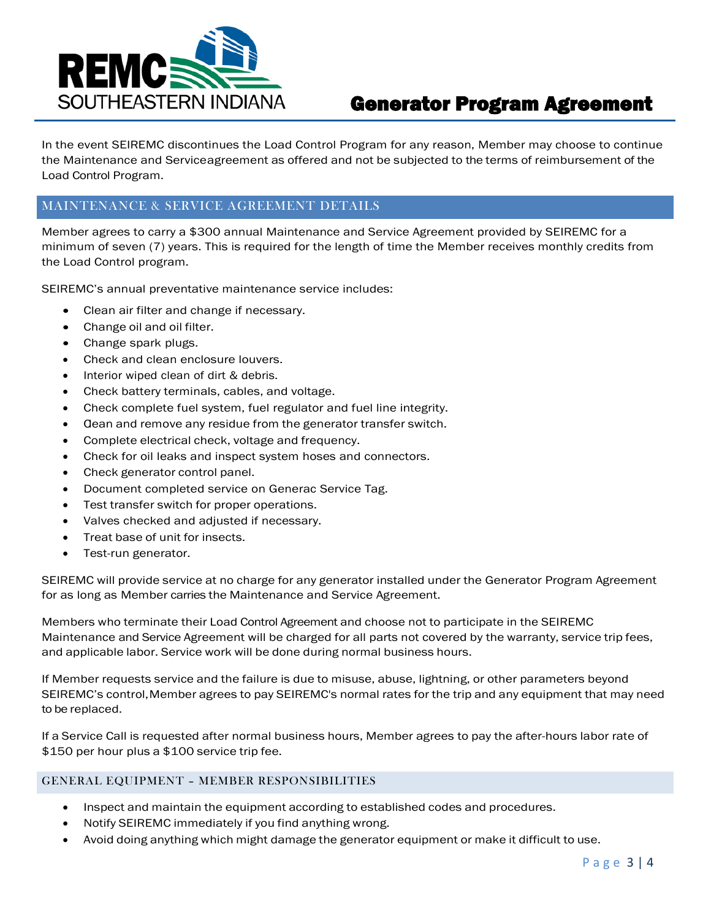

In the event SEIREMC discontinues the Load Control Program for any reason, Member may choose to continue the Maintenance and Serviceagreement as offered and not be subjected to the terms of reimbursement of the Load Control Program.

### MAINTENANCE & SERVICE AGREEMENT DETAILS

Member agrees to carry a \$300 annual Maintenance and Service Agreement provided by SEIREMC for a minimum of seven (7) years. This is required for the length of time the Member receives monthly credits from the Load Control program.

SEIREMC's annual preventative maintenance service includes:

- Clean air filter and change if necessary.
- Change oil and oil filter.
- Change spark plugs.
- Check and clean enclosure louvers.
- Interior wiped clean of dirt & debris.
- Check battery terminals, cables, and voltage.
- Check complete fuel system, fuel regulator and fuel line integrity.
- Gean and remove any residue from the generator transfer switch.
- Complete electrical check, voltage and frequency.
- Check for oil leaks and inspect system hoses and connectors.
- Check generator control panel.
- Document completed service on Generac Service Tag.
- Test transfer switch for proper operations.
- Valves checked and adjusted if necessary.
- Treat base of unit for insects.
- Test-run generator.

SEIREMC will provide service at no charge for any generator installed under the Generator Program Agreement for as long as Member carries the Maintenance and Service Agreement.

Members who terminate their Load Control Agreement and choose not to participate in the SEIREMC Maintenance and Service Agreement will be charged for all parts not covered by the warranty, service trip fees, and applicable labor. Service work will be done during normal business hours.

If Member requests service and the failure is due to misuse, abuse, lightning, or other parameters beyond SEIREMC's control,Member agrees to pay SEIREMC's normal rates for the trip and any equipment that may need to be replaced.

If a Service Call is requested after normal business hours, Member agrees to pay the after-hours labor rate of \$150 per hour plus a \$100 service trip fee.

#### GENERAL EQUIPMENT – MEMBER RESPONSIBILITIES

- Inspect and maintain the equipment according to established codes and procedures.
- Notify SEIREMC immediately if you find anything wrong.
- Avoid doing anything which might damage the generator equipment or make it difficult to use.